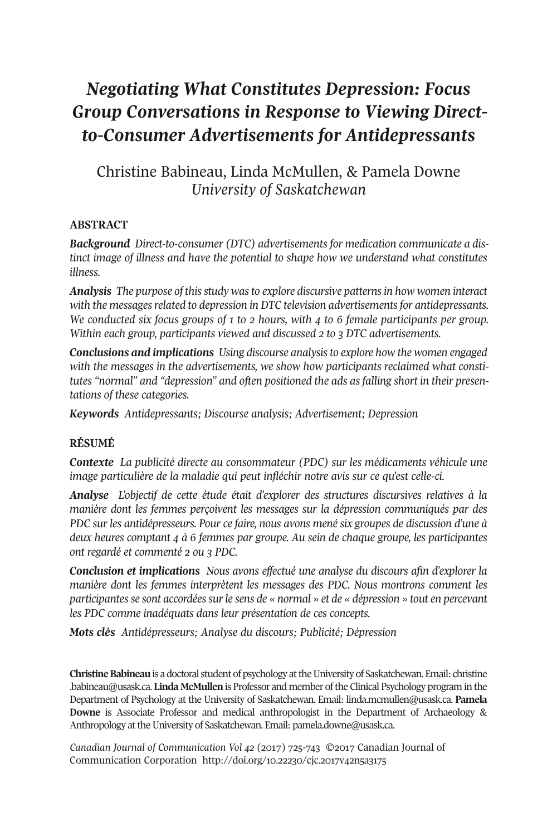# *Negotiating What Constitutes Depression: Focus Group Conversations in Response to Viewing Directto-Consumer Advertisements for Antidepressants*

# Christine Babineau, Linda McMullen, & Pamela Downe *University of Saskatchewan*

### **ABSTRACT**

*Background Direct-to-consumer (DTC) advertisements for medication communicate a distinct image of illness and have the potential to shape how we understand what constitutes illness.*

*Analysis The purpose of thisstudy wasto explore discursive patternsin how women interact with the messagesrelated to depression in DTC television advertisementsfor antidepressants. We conducted six focus groups of 1 to 2 hours, with 4 to 6 female participants per group. Within each group, participants viewed and discussed 2 to 3 DTC advertisements.*

*Conclusions and implications Using discourse analysisto explore how the women engaged with the messages in the advertisements, we show how participants reclaimed what constitutes "normal" and "depression" and often positioned the ads as falling short in their presentations of these categories.*

*Keywords Antidepressants; Discourse analysis; Advertisement; Depression*

#### **RÉSUMÉ**

*Contexte La publicité directe au consommateur (PDC) sur les médicaments véhicule une image particulière de la maladie qui peut infléchir notre avis sur ce qu'est celle-ci.*

*Analyse L'objectif de cette étude était d'explorer des structures discursives relatives à la manière dont les femmes perçoivent les messages sur la dépression communiqués par des PDC sur les antidépresseurs. Pour ce faire, nous avons mené six groupes de discussion d'une à deux heures comptant 4 à 6 femmes par groupe. Au sein de chaque groupe, les participantes ont regardé et commenté 2 ou 3 PDC.*

*Conclusion et implications Nous avons effectué une analyse du discours afin d'explorer la manière dont les femmes interprètent les messages des PDC. Nous montrons comment les participantesse sont accordéessurle sens de « normal » et de « dépression » tout en percevant les PDC comme inadéquats dans leur présentation de ces concepts.*

*Mots clés Antidépresseurs; Analyse du discours; Publicité; Dépression*

**Christine Babineau** is a doctoral student of psychology at the University of Saskatchewan. Email: [christine](mailto:christine.babineau@usask.ca) [.babineau@usask.ca.](mailto:christine.babineau@usask.ca) **Linda McMullen**is Professor and member ofthe Clinical Psychology program in the Department of Psychology at the University of Saskatchewan. Email: [linda.mcmullen@usask.ca.](mailto:linda.mcmullen@usask.ca) **Pamela Downe** is Associate Professor and medical anthropologist in the Department of Archaeology & Anthropology at the University of Saskatchewan. Email: [pamela.downe@usask.ca.](mailto:pamela.downe@usask.ca)

*Canadian Journal of [Communication](http://www.cjc-online.ca) Vol 42* (2017) 725-743 ©2017 Canadian Journal of Communication Corporation <http://doi.org/10.22230/cjc.2017v42n5a3175>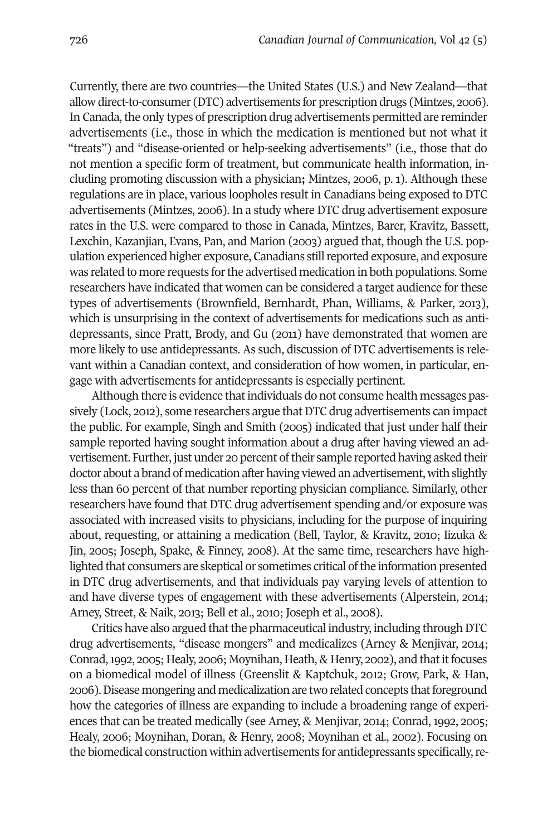Currently, there are two countries—the United States (U.S.) and New Zealand—that allow direct-to-consumer (DTC) advertisements for prescription drugs (Mintzes, 2006). In Canada, the only types of prescription drug advertisements permitted are reminder advertisements (i.e., those in which the medication is mentioned but not what it "treats") and "disease-oriented or help-seeking advertisements" (i.e., those that do not mention a specific form of treatment, but communicate health information, including promoting discussion with a physician**;** Mintzes, 2006, p. 1). Although these regulations are in place, various loopholes result in Canadians being exposed to DTC advertisements (Mintzes, 2006). In a study where DTC drug advertisement exposure rates in the U.S. were compared to those in Canada, Mintzes, Barer, Kravitz, Bassett, Lexchin, Kazanjian, Evans, Pan, and Marion (2003) argued that, though the U.S. population experienced higher exposure, Canadians still reported exposure, and exposure was related to more requests forthe advertised medication in both populations. Some researchers have indicated that women can be considered a target audience for these types of advertisements (Brownfield, Bernhardt, Phan, Williams, & Parker, 2013), which is unsurprising in the context of advertisements for medications such as antidepressants, since Pratt, Brody, and Gu (2011) have demonstrated that women are more likely to use antidepressants. As such, discussion of DTC advertisements is relevant within a Canadian context, and consideration of how women, in particular, engage with advertisements for antidepressants is especially pertinent.

Although there is evidence that individuals do not consume health messages passively (Lock, 2012), some researchers argue that DTC drug advertisements can impact the public. For example, Singh and Smith (2005) indicated that just under half their sample reported having sought information about a drug after having viewed an advertisement. Further, just under 20 percent oftheir sample reported having asked their doctor about a brand of medication after having viewed an advertisement, with slightly less than 60 percent of that number reporting physician compliance. Similarly, other researchers have found that DTC drug advertisement spending and/or exposure was associated with increased visits to physicians, including for the purpose of inquiring about, requesting, or attaining a medication (Bell, Taylor, & Kravitz, 2010; Iizuka & Jin, 2005; Joseph, Spake, & Finney, 2008). At the same time, researchers have highlighted that consumers are skeptical or sometimes critical of the information presented in DTC drug advertisements, and that individuals pay varying levels of attention to and have diverse types of engagement with these advertisements (Alperstein, 2014; Arney, Street, & Naik, 2013; Bell et al., 2010; Joseph et al., 2008).

Critics have also argued that the pharmaceutical industry, including through DTC drug advertisements, "disease mongers" and medicalizes (Arney & Menjivar, 2014; Conrad, 1992, 2005; Healy, 2006; Moynihan, Heath, & Henry, 2002), and that it focuses on a biomedical model of illness (Greenslit & Kaptchuk, 2012; Grow, Park, & Han, 2006).Disease mongering and medicalization are two related concepts thatforeground how the categories of illness are expanding to include a broadening range of experiences that can be treated medically (see Arney, & Menjivar, 2014; Conrad, 1992, 2005; Healy, 2006; Moynihan, Doran, & Henry, 2008; Moynihan et al., 2002). Focusing on the biomedical construction within advertisements for antidepressants specifically,re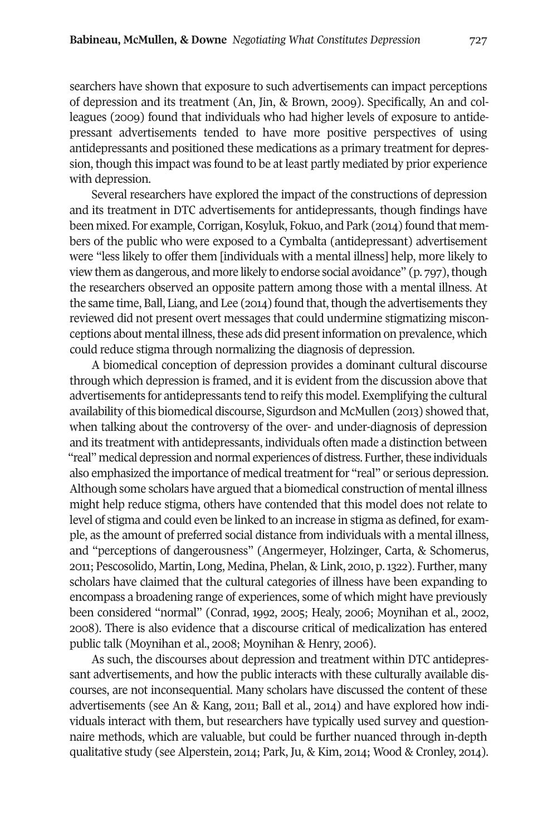searchers have shown that exposure to such advertisements can impact perceptions of depression and its treatment (An, Jin, & Brown, 2009). Specifically, An and colleagues (2009) found that individuals who had higher levels of exposure to antidepressant advertisements tended to have more positive perspectives of using antidepressants and positioned these medications as a primary treatment for depression, though this impact was found to be at least partly mediated by prior experience with depression.

Several researchers have explored the impact of the constructions of depression and its treatment in DTC advertisements for antidepressants, though findings have been mixed. For example, Corrigan, Kosyluk, Fokuo, and Park (2014) found that members of the public who were exposed to a Cymbalta (antidepressant) advertisement were "less likely to offer them [individuals with a mental illness] help, more likely to view them as dangerous, and more likely to endorse social avoidance" (p. 797), though the researchers observed an opposite pattern among those with a mental illness. At the same time, Ball, Liang, and Lee  $(2014)$  found that, though the advertisements they reviewed did not present overt messages that could undermine stigmatizing misconceptions about mental illness, these ads did present information on prevalence, which could reduce stigma through normalizing the diagnosis of depression.

A biomedical conception of depression provides a dominant cultural discourse through which depression is framed, and it is evident from the discussion above that advertisements for antidepressants tend to reify this model. Exemplifying the cultural availability ofthis biomedical discourse, Sigurdson and McMullen (2013) showed that, when talking about the controversy of the over- and under-diagnosis of depression and its treatment with antidepressants, individuals often made a distinction between "real" medical depression and normal experiences of distress. Further, these individuals also emphasized the importance of medical treatment for "real" or serious depression. Although some scholars have argued that a biomedical construction of mental illness might help reduce stigma, others have contended that this model does not relate to level of stigma and could even be linked to an increase in stigma as defined, for example, as the amount of preferred social distance from individuals with a mental illness, and "perceptions of dangerousness" (Angermeyer, Holzinger, Carta, & Schomerus, 2011; Pescosolido, Martin, Long, Medina, Phelan, & Link, 2010, p.1322). Further, many scholars have claimed that the cultural categories of illness have been expanding to encompass a broadening range of experiences, some of which might have previously been considered "normal" (Conrad, 1992, 2005; Healy, 2006; Moynihan et al., 2002, 2008). There is also evidence that a discourse critical of medicalization has entered public talk (Moynihan et al., 2008; Moynihan & Henry, 2006).

As such, the discourses about depression and treatment within DTC antidepressant advertisements, and how the public interacts with these culturally available discourses, are not inconsequential. Many scholars have discussed the content of these advertisements (see An & Kang, 2011; Ball et al., 2014) and have explored how individuals interact with them, but researchers have typically used survey and questionnaire methods, which are valuable, but could be further nuanced through in-depth qualitative study (see Alperstein, 2014; Park, Ju, & Kim, 2014; Wood & Cronley, 2014).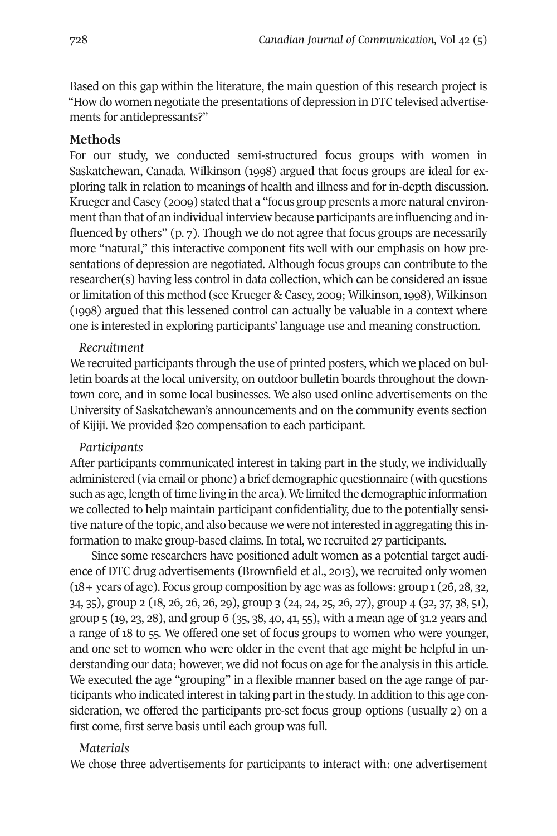Based on this gap within the literature, the main question of this research project is "How do women negotiate the presentations of depression inDTC televised advertisements for antidepressants?"

#### **Methods**

For our study, we conducted semi-structured focus groups with women in Saskatchewan, Canada. Wilkinson (1998) argued that focus groups are ideal for exploring talk in relation to meanings of health and illness and for in-depth discussion. Krueger and Casey (2009) stated that a "focus group presents a more natural environment than that of an individual interview because participants are influencing and influenced by others" (p. 7). Though we do not agree that focus groups are necessarily more "natural," this interactive component fits well with our emphasis on how presentations of depression are negotiated. Although focus groups can contribute to the researcher(s) having less control in data collection, which can be considered an issue or limitation of this method (see Krueger & Casey, 2009; Wilkinson, 1998), Wilkinson (1998) argued that this lessened control can actually be valuable in a context where one is interested in exploring participants' language use and meaning construction.

#### *Recruitment*

We recruited participants through the use of printed posters, which we placed on bulletin boards at the local university, on outdoor bulletin boards throughout the downtown core, and in some local businesses. We also used online advertisements on the University of Saskatchewan's announcements and on the community events section of Kijiji. We provided \$20 compensation to each participant.

#### *Participants*

After participants communicated interest in taking part in the study, we individually administered (via email or phone) a brief demographic questionnaire (with questions such as age, length of time living in the area). We limited the demographic information we collected to help maintain participant confidentiality, due to the potentially sensitive nature ofthe topic, and also because we were notinterested in aggregating this information to make group-based claims. In total, we recruited 27 participants.

Since some researchers have positioned adult women as a potential target audience of DTC drug advertisements (Brownfield et al., 2013), we recruited only women (18+ years of age). Focus group composition by age was as follows: group 1 (26, 28, 32, 34, 35), group 2 (18, 26, 26, 26, 29), group 3 (24, 24, 25, 26, 27), group 4 (32, 37, 38, 51), group 5 (19, 23, 28), and group 6 (35, 38, 40, 41, 55), with a mean age of 31.2 years and a range of 18 to 55. We offered one set of focus groups to women who were younger, and one set to women who were older in the event that age might be helpful in understanding our data; however, we did not focus on age for the analysis in this article. We executed the age "grouping" in a flexible manner based on the age range of participants who indicated interest in taking part in the study. In addition to this age consideration, we offered the participants pre-set focus group options (usually 2) on a first come, first serve basis until each group was full.

#### *Materials*

We chose three advertisements for participants to interact with: one advertisement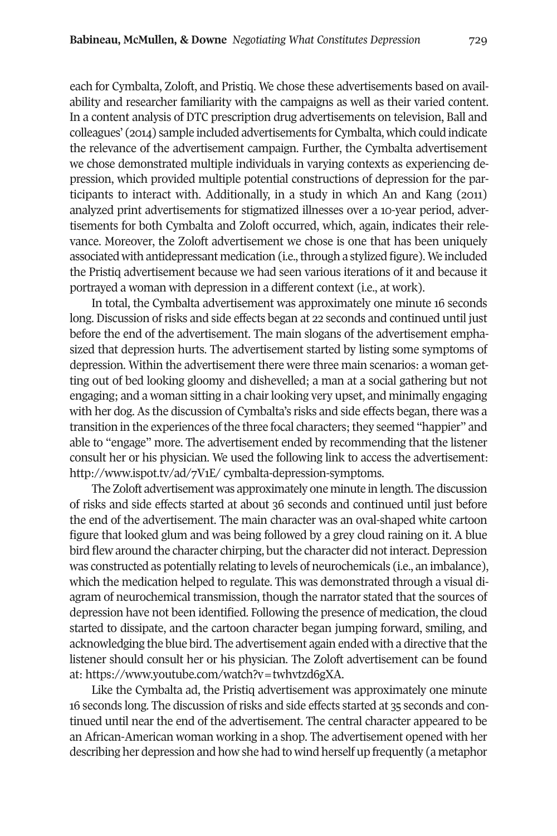each for Cymbalta, Zoloft, and Pristiq. We chose these advertisements based on availability and researcher familiarity with the campaigns as well as their varied content. In a content analysis of DTC prescription drug advertisements on television, Ball and colleagues' (2014) sample included advertisements for Cymbalta, which could indicate the relevance of the advertisement campaign. Further, the Cymbalta advertisement we chose demonstrated multiple individuals in varying contexts as experiencing depression, which provided multiple potential constructions of depression for the participants to interact with. Additionally, in a study in which An and Kang (2011) analyzed print advertisements for stigmatized illnesses over a 10-year period, advertisements for both Cymbalta and Zoloft occurred, which, again, indicates their relevance. Moreover, the Zoloft advertisement we chose is one that has been uniquely associated with antidepressant medication (i.e., through a stylized figure). We included the Pristiq advertisement because we had seen various iterations of it and because it portrayed a woman with depression in a different context (i.e., at work).

In total, the Cymbalta advertisement was approximately one minute 16 seconds long. Discussion of risks and side effects began at 22 seconds and continued until just before the end of the advertisement. The main slogans of the advertisement emphasized that depression hurts. The advertisement started by listing some symptoms of depression. Within the advertisement there were three main scenarios: a woman getting out of bed looking gloomy and dishevelled; a man at a social gathering but not engaging; and a woman sitting in a chair looking very upset, and minimally engaging with her dog. As the discussion of Cymbalta's risks and side effects began, there was a transition in the experiences ofthe three focal characters;they seemed "happier" and able to "engage" more. The advertisement ended by recommending that the listener consult her or his physician. We used the following link to access the advertisement: http://www.ispot.tv/ad/7V1E/ cymbalta-depression-symptoms.

The Zoloft advertisement was approximately one minute in length. The discussion of risks and side effects started at about 36 seconds and continued until just before the end of the advertisement. The main character was an oval-shaped white cartoon figure that looked glum and was being followed by a grey cloud raining on it. A blue bird flew around the character chirping, but the character did not interact. Depression was constructed as potentially relating to levels of neurochemicals (i.e., an imbalance), which the medication helped to regulate. This was demonstrated through a visual diagram of neurochemical transmission, though the narrator stated that the sources of depression have not been identified. Following the presence of medication, the cloud started to dissipate, and the cartoon character began jumping forward, smiling, and acknowledging the blue bird. The advertisement again ended with a directive that the listener should consult her or his physician. The Zoloft advertisement can be found at: [https://www.youtube.com/watch?v=twhvtzd6gXA.](http://www.ispot.tv/ad/7V1E/)

Like the Cymbalta ad, the Pristiq advertisement was approximately one minute 16 seconds long. The discussion ofrisks and side effects started at 35 seconds and continued until near the end of the advertisement. The central character appeared to be an African-American woman working in a shop. The advertisement opened with her describing her depression and how she had to wind herself up frequently (a metaphor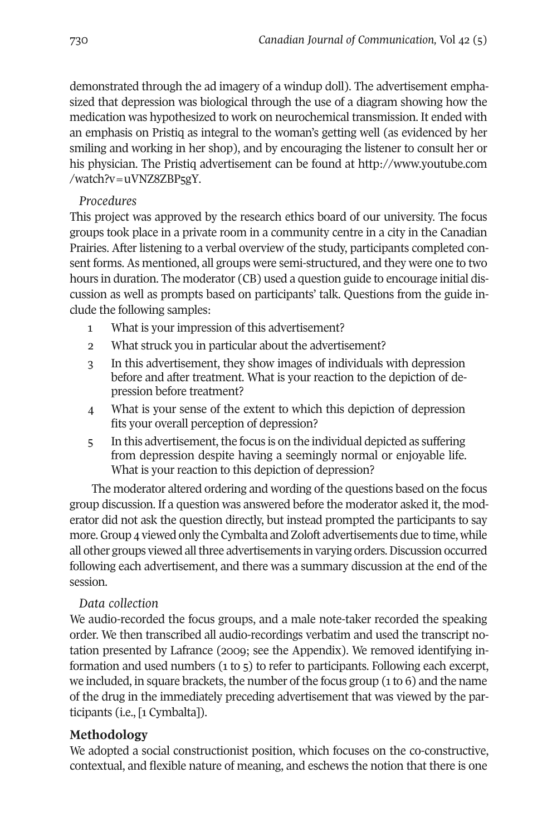demonstrated through the ad imagery of a windup doll). The advertisement emphasized that depression was biological through the use of a diagram showing how the medication was hypothesized to work on neurochemical transmission. It ended with an emphasis on Pristiq as integral to the woman's getting well (as evidenced by her smiling and working in her shop), and by encouraging the listener to consult her or his physician. The Pristiq advertisement can be found at http://www.youtube.com [/watch?v=uVNZ8ZBP5gY.](http://www.youtube.com/watch?v=uVNZ8ZBP5gY)

# *Procedures*

This project was approved by the research ethics board of our university. The focus groups took place in a private room in a community centre in a city in the Canadian Prairies. After listening to a verbal overview of the study, participants completed consent forms. As mentioned, all groups were semi-structured, and they were one to two hours in duration. The moderator (CB) used a question guide to encourage initial discussion as well as prompts based on participants' talk. Questions from the guide include the following samples:

- 1 What is your impression of this advertisement?
- 2 What struck you in particular about the advertisement?
- 3 In this advertisement, they show images of individuals with depression before and after treatment. What is your reaction to the depiction of depression before treatment?
- 4 What is your sense of the extent to which this depiction of depression fits your overall perception of depression?
- 5 In this advertisement, the focus is on the individual depicted as suffering from depression despite having a seemingly normal or enjoyable life. What is your reaction to this depiction of depression?

The moderator altered ordering and wording of the questions based on the focus group discussion. If a question was answered before the moderator asked it, the moderator did not ask the question directly, but instead prompted the participants to say more.Group 4 viewed only the Cymbalta and Zoloft advertisements due to time, while all other groups viewed all three advertisements in varying orders. Discussion occurred following each advertisement, and there was a summary discussion at the end of the session.

# *Data collection*

We audio-recorded the focus groups, and a male note-taker recorded the speaking order. We then transcribed all audio-recordings verbatim and used the transcript notation presented by Lafrance (2009; see the Appendix). We removed identifying information and used numbers (1 to 5) to refer to participants. Following each excerpt, we included, in square brackets, the number of the focus group  $(1 \text{ to } 6)$  and the name of the drug in the immediately preceding advertisement that was viewed by the participants (i.e., [1 Cymbalta]).

# **Methodology**

We adopted a social constructionist position, which focuses on the co-constructive, contextual, and flexible nature of meaning, and eschews the notion that there is one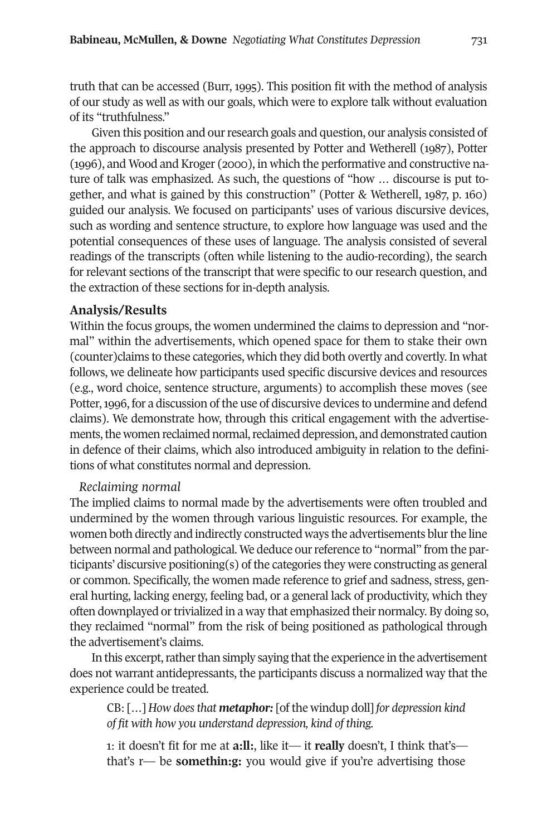truth that can be accessed (Burr, 1995). This position fit with the method of analysis of our study as well as with our goals, which were to explore talk without evaluation of its "truthfulness."

Given this position and our research goals and question, our analysis consisted of the approach to discourse analysis presented by Potter and Wetherell (1987), Potter (1996), and Wood and Kroger (2000), in which the performative and constructive nature of talk was emphasized. As such, the questions of "how … discourse is put together, and what is gained by this construction" (Potter & Wetherell, 1987, p. 160) guided our analysis. We focused on participants' uses of various discursive devices, such as wording and sentence structure, to explore how language was used and the potential consequences of these uses of language. The analysis consisted of several readings of the transcripts (often while listening to the audio-recording), the search for relevant sections of the transcript that were specific to our research question, and the extraction of these sections for in-depth analysis.

#### **Analysis/Results**

Within the focus groups, the women undermined the claims to depression and "normal" within the advertisements, which opened space for them to stake their own (counter)claims to these categories, which they did both overtly and covertly. In what follows, we delineate how participants used specific discursive devices and resources (e.g., word choice, sentence structure, arguments) to accomplish these moves (see Potter, 1996, for a discussion of the use of discursive devices to undermine and defend claims). We demonstrate how, through this critical engagement with the advertisements, the women reclaimed normal, reclaimed depression, and demonstrated caution in defence of their claims, which also introduced ambiguity in relation to the definitions of what constitutes normal and depression.

#### *Reclaiming normal*

The implied claims to normal made by the advertisements were often troubled and undermined by the women through various linguistic resources. For example, the women both directly and indirectly constructed ways the advertisements blurthe line between normal and pathological. We deduce ourreference to "normal" from the participants' discursive positioning(s) of the categories they were constructing as general or common. Specifically, the women made reference to grief and sadness, stress, general hurting, lacking energy, feeling bad, or a general lack of productivity, which they often downplayed or trivialized in a way that emphasized their normalcy. By doing so, they reclaimed "normal" from the risk of being positioned as pathological through the advertisement's claims.

In this excerpt, rather than simply saying that the experience in the advertisement does not warrant antidepressants, the participants discuss a normalized way that the experience could be treated.

CB: […] *How doesthat metaphor:* [of the windup doll] *for depression kind of fit with how you understand depression, kind of thing.*

1: it doesn't fit for me at **a:ll:**, like it— it **really** doesn't, I think that's that's r— be **somethin:g:** you would give if you're advertising those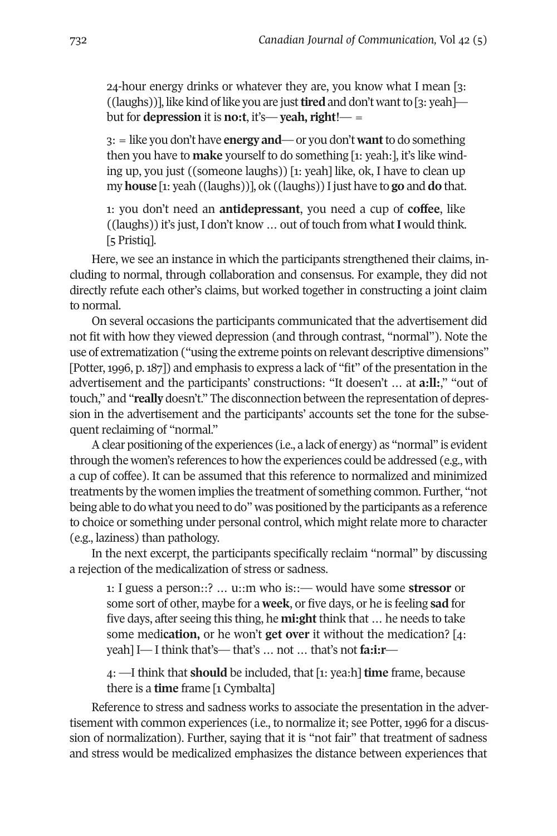24-hour energy drinks or whatever they are, you know what I mean [3: ((laughs))], like kind of like you are just**tired** and don't wantto [3: yeah] but for **depression** it is **no:t**, it's— **yeah, right**!— =

3: = like you don't have **energy and**—or you don't **want**to do something then you have to **make** yourself to do something [1: yeah:], it's like winding up, you just ((someone laughs)) [1: yeah] like, ok, I have to clean up my **house** [1: yeah ((laughs))], ok ((laughs)) Ijust have to **go** and **do** that.

1: you don't need an **antidepressant**, you need a cup of **coffee**, like ((laughs)) it's just, I don't know … out of touch from what **I** would think. [5 Pristiq].

Here, we see an instance in which the participants strengthened their claims, including to normal, through collaboration and consensus. For example, they did not directly refute each other's claims, but worked together in constructing a joint claim to normal.

On several occasions the participants communicated that the advertisement did not fit with how they viewed depression (and through contrast, "normal"). Note the use of extrematization ("using the extreme points on relevant descriptive dimensions" [Potter,1996, p.187]) and emphasis to express a lack of "fit" of the presentation in the advertisement and the participants' constructions: "It doesen't … at **a:ll:**," "out of touch," and "**really** doesn't." The disconnection between the representation of depression in the advertisement and the participants' accounts set the tone for the subsequent reclaiming of "normal."

Aclear positioning ofthe experiences (i.e., a lack of energy) as "normal" is evident through the women's references to how the experiences could be addressed (e.g., with a cup of coffee). It can be assumed that this reference to normalized and minimized treatments by the women implies the treatment of something common. Further, "not being able to do what you need to do" was positioned by the participants as a reference to choice or something under personal control, which might relate more to character (e.g., laziness) than pathology.

In the next excerpt, the participants specifically reclaim "normal" by discussing a rejection of the medicalization of stress or sadness.

1: I guess a person::? … u::m who is::— would have some **stressor** or some sort of other, maybe for a **week**, or five days, or he is feeling **sad** for five days, after seeing this thing, he **mi:ght** think that … he needs to take some medi**cation,** or he won't **get over** it without the medication? [4: yeah] I— I think that's— that's … not … that's not **fa:i:r**—

4: —I think that **should** be included, that [1: yea:h] **time** frame, because there is a **time** frame [1 Cymbalta]

Reference to stress and sadness works to associate the presentation in the advertisement with common experiences (i.e., to normalize it; see Potter, 1996 for a discussion of normalization). Further, saying that it is "not fair" that treatment of sadness and stress would be medicalized emphasizes the distance between experiences that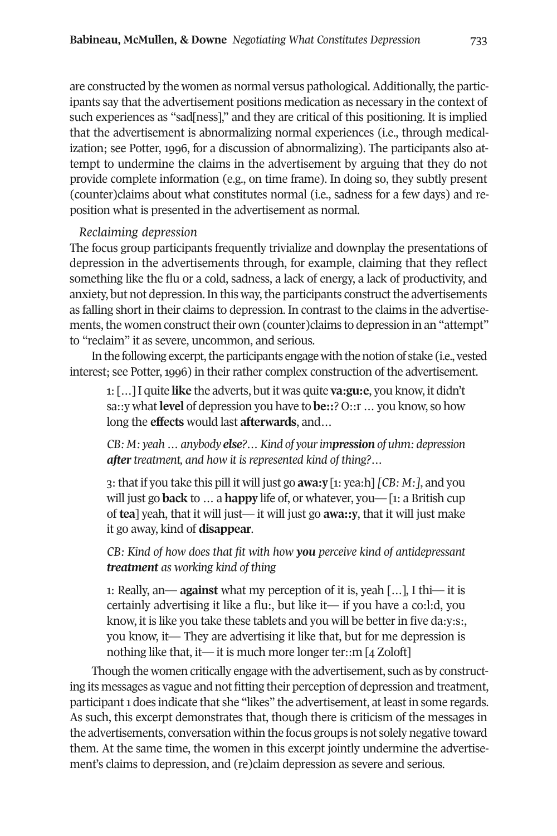are constructed by the women as normal versus pathological. Additionally, the participants say that the advertisement positions medication as necessary in the context of such experiences as "sad[ness]," and they are critical of this positioning. It is implied that the advertisement is abnormalizing normal experiences (i.e., through medicalization; see Potter, 1996, for a discussion of abnormalizing). The participants also attempt to undermine the claims in the advertisement by arguing that they do not provide complete information (e.g., on time frame). In doing so, they subtly present (counter)claims about what constitutes normal (i.e., sadness for a few days) and reposition what is presented in the advertisement as normal.

#### *Reclaiming depression*

The focus group participants frequently trivialize and downplay the presentations of depression in the advertisements through, for example, claiming that they reflect something like the flu or a cold, sadness, a lack of energy, a lack of productivity, and anxiety, but not depression. In this way, the participants construct the advertisements as falling short in their claims to depression. In contrast to the claims in the advertisements, the women construct their own (counter)claims to depression in an "attempt" to "reclaim" it as severe, uncommon, and serious.

In the following excerpt, the participants engage with the notion of stake (i.e., vested interest; see Potter, 1996) in their rather complex construction of the advertisement.

1: […] I quite **like** the adverts, butit was quite **va:gu:e**, you know, it didn't sa::y what**level** of depression you have to **be::**? O::r … you know, so how long the **effects** would last **afterwards**, and…

*CB: M: yeah…anybody else?…Kind of yourimpression of uhm: depression after treatment, and how it is represented kind of thing?…*

3: that if you take this pill it will just go **awa:y** [1: yea:h] *[CB: M:]*, and you will just go **back** to … a **happy** life of, or whatever, you— [1: a British cup of **tea**] yeah, that it will just— it will just go **awa::y**, that it will just make it go away, kind of **disappear**.

*CB: Kind of how does that fit with how you perceive kind of antidepressant treatment as working kind of thing*

1: Really, an— **against** what my perception of it is, yeah […], I thi— it is certainly advertising it like a flu:, but like it— if you have a co:l:d, you know, it is like you take these tablets and you will be better in five da:y:s:, you know, it— They are advertising it like that, but for me depression is nothing like that, it— it is much more longer ter::m [4 Zoloft]

Though the women critically engage with the advertisement, such as by constructing its messages as vague and not fitting their perception of depression and treatment, participant 1 does indicate that she "likes" the advertisement, at least in some regards. As such, this excerpt demonstrates that, though there is criticism of the messages in the advertisements, conversation within the focus groups is not solely negative toward them. At the same time, the women in this excerpt jointly undermine the advertisement's claims to depression, and (re)claim depression as severe and serious.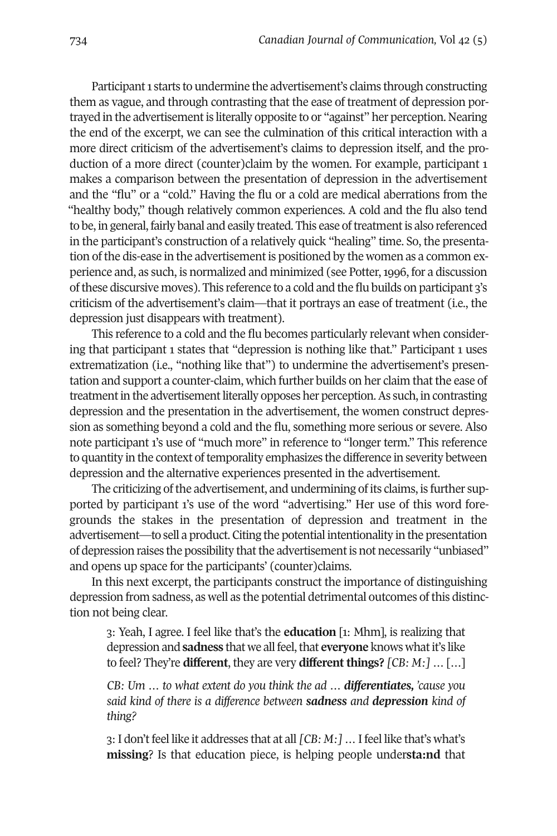Participant 1 starts to undermine the advertisement's claims through constructing them as vague, and through contrasting that the ease of treatment of depression portrayed in the advertisementis literally opposite to or "against" her perception. Nearing the end of the excerpt, we can see the culmination of this critical interaction with a more direct criticism of the advertisement's claims to depression itself, and the production of a more direct (counter)claim by the women. For example, participant 1 makes a comparison between the presentation of depression in the advertisement and the "flu" or a "cold." Having the flu or a cold are medical aberrations from the "healthy body," though relatively common experiences. A cold and the flu also tend to be, in general, fairly banal and easily treated. This ease of treatment is also referenced in the participant's construction of a relatively quick "healing" time. So, the presentation of the dis-ease in the advertisement is positioned by the women as a common experience and, as such, is normalized and minimized (see Potter,1996, for a discussion ofthese discursive moves). This reference to a cold and the flu builds on participant 3's criticism of the advertisement's claim—that it portrays an ease of treatment (i.e., the depression just disappears with treatment).

This reference to a cold and the flu becomes particularly relevant when considering that participant 1 states that "depression is nothing like that." Participant 1 uses extrematization (i.e., "nothing like that") to undermine the advertisement's presentation and support a counter-claim, which further builds on her claim that the ease of treatment in the advertisement literally opposes her perception. As such, in contrasting depression and the presentation in the advertisement, the women construct depression as something beyond a cold and the flu, something more serious or severe. Also note participant 1's use of "much more" in reference to "longer term." This reference to quantity in the context of temporality emphasizes the difference in severity between depression and the alternative experiences presented in the advertisement.

The criticizing of the advertisement, and undermining of its claims, is further supported by participant 1's use of the word "advertising." Her use of this word foregrounds the stakes in the presentation of depression and treatment in the advertisement—to sell a product. Citing the potential intentionality in the presentation of depression raises the possibility that the advertisement is not necessarily "unbiased" and opens up space for the participants' (counter)claims.

In this next excerpt, the participants construct the importance of distinguishing depression from sadness, as well as the potential detrimental outcomes ofthis distinction not being clear.

3: Yeah, I agree. I feel like that's the **education** [1: Mhm], is realizing that depression and **sadness** that we all feel, that **everyone** knows what it's like to feel? They're **different**, they are very **different things?** *[CB: M:]* … […]

*CB: Um … to what extent do you think the ad … differentiates, 'cause you said kind of there is a difference between sadness and depression kind of thing?*

3: I don't feel like it addresses that at all *[CB: M: ]* ... I feel like that's what's **missing**? Is that education piece, is helping people under**sta:nd** that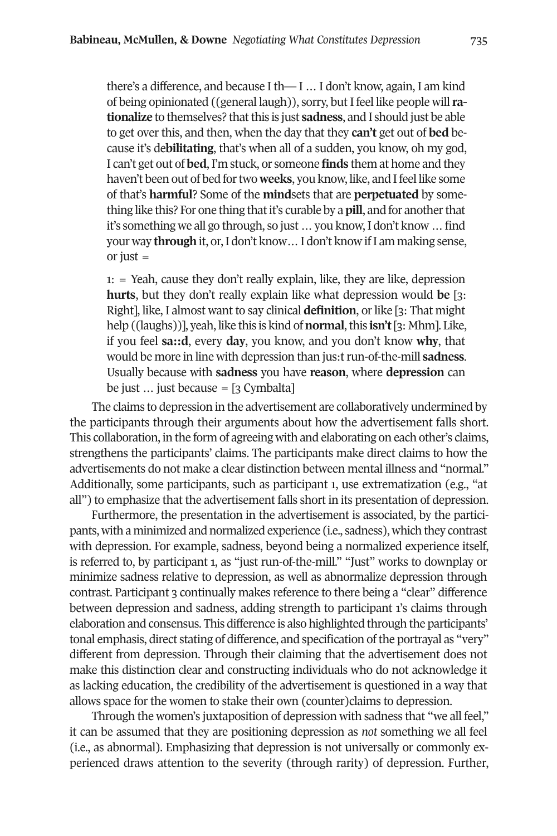there's a difference, and because I th— I … I don't know, again, I am kind of being opinionated ((general laugh)), sorry, but I feel like people will **ra**tionalize to themselves? that this is just sadness, and I should just be able to get over this, and then, when the day that they **can't** get out of **bed** because it's de**bilitating**, that's when all of a sudden, you know, oh my god, I can't get out of **bed**, I'm stuck, or someone **finds** them at home and they haven't been out of bed for two **weeks**, you know, like, and I feel like some of that's **harmful**? Some of the **mind**sets that are **perpetuated** by something like this? For one thing that it's curable by a **pill**, and for another that it's something we all go through, so just … you know,I don't know … find your way **through** it, or,I don't know…I don't know ifI am making sense, or just  $=$ 

1: = Yeah, cause they don't really explain, like, they are like, depression **hurts**, but they don't really explain like what depression would **be** [3: Right], like, I almost want to say clinical **definition**, or like [3: That might help ((laughs))], yeah, like this is kind of **normal**,this **isn't**[3: Mhm]. Like, if you feel **sa::d**, every **day**, you know, and you don't know **why**, that would be more in line with depression than jus:t run-of-the-mill **sadness**. Usually because with **sadness** you have **reason**, where **depression** can be just  $\ldots$  just because = [3 Cymbalta]

The claims to depression in the advertisement are collaboratively undermined by the participants through their arguments about how the advertisement falls short. This collaboration, in the form of agreeing with and elaborating on each other's claims, strengthens the participants' claims. The participants make direct claims to how the advertisements do not make a clear distinction between mental illness and "normal." Additionally, some participants, such as participant 1, use extrematization (e.g., "at all") to emphasize that the advertisement falls short in its presentation of depression.

Furthermore, the presentation in the advertisement is associated, by the participants, with a minimized and normalized experience (i.e., sadness), which they contrast with depression. For example, sadness, beyond being a normalized experience itself, is referred to, by participant 1, as "just run-of-the-mill." "Just" works to downplay or minimize sadness relative to depression, as well as abnormalize depression through contrast. Participant 3 continually makes reference to there being a "clear" difference between depression and sadness, adding strength to participant 1's claims through elaboration and consensus. This difference is also highlighted through the participants' tonal emphasis, direct stating of difference, and specification of the portrayal as "very" different from depression. Through their claiming that the advertisement does not make this distinction clear and constructing individuals who do not acknowledge it as lacking education, the credibility of the advertisement is questioned in a way that allows space for the women to stake their own (counter)claims to depression.

Through the women's juxtaposition of depression with sadness that "we all feel," it can be assumed that they are positioning depression as *not* something we all feel (i.e., as abnormal). Emphasizing that depression is not universally or commonly experienced draws attention to the severity (through rarity) of depression. Further,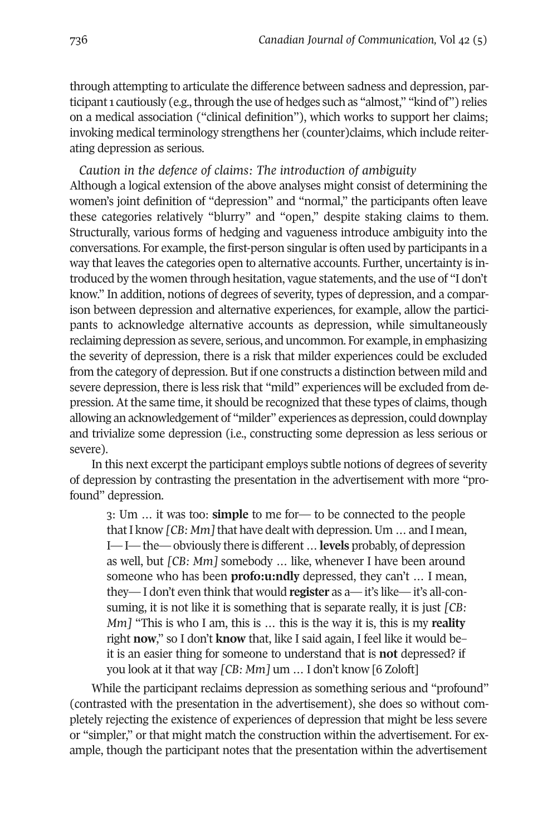through attempting to articulate the difference between sadness and depression, participant 1 cautiously (e.g., through the use of hedges such as "almost," "kind of") relies on a medical association ("clinical definition"), which works to support her claims; invoking medical terminology strengthens her (counter)claims, which include reiterating depression as serious.

*Caution in the defence of claims: The introduction of ambiguity* Although a logical extension of the above analyses might consist of determining the women's joint definition of "depression" and "normal," the participants often leave these categories relatively "blurry" and "open," despite staking claims to them. Structurally, various forms of hedging and vagueness introduce ambiguity into the conversations. For example, the first-person singularis often used by participants in a way that leaves the categories open to alternative accounts. Further, uncertainty is introduced by the women through hesitation, vague statements, and the use of "I don't know." In addition, notions of degrees of severity, types of depression, and a comparison between depression and alternative experiences, for example, allow the participants to acknowledge alternative accounts as depression, while simultaneously reclaiming depression as severe, serious, and uncommon. For example, in emphasizing the severity of depression, there is a risk that milder experiences could be excluded from the category of depression. But if one constructs a distinction between mild and severe depression, there is less risk that "mild" experiences will be excluded from depression. At the same time, it should be recognized that these types of claims, though allowing an acknowledgement of "milder" experiences as depression, could downplay and trivialize some depression (i.e., constructing some depression as less serious or severe).

In this next excerpt the participant employs subtle notions of degrees of severity of depression by contrasting the presentation in the advertisement with more "profound" depression.

3: Um … it was too: **simple** to me for— to be connected to the people that I know *[CB: Mm]* that have dealt with depression. Um ... and I mean, I—I—the—obviously there is different … **levels** probably, of depression as well, but *[CB: Mm]* somebody … like, whenever I have been around someone who has been **profo:u:ndly** depressed, they can't … I mean, they— I don't even think that would **register** as a— it's like— it's all-consuming, it is not like it is something that is separate really, it is just *[CB: Mm]* "This is who I am, this is … this is the way it is, this is my **reality** right **now**," so I don't **know** that, like I said again, I feel like it would be– it is an easier thing for someone to understand that is **not** depressed? if you look at it that way *[CB: Mm]* um … I don't know [6 Zoloft]

While the participant reclaims depression as something serious and "profound" (contrasted with the presentation in the advertisement), she does so without completely rejecting the existence of experiences of depression that might be less severe or "simpler," or that might match the construction within the advertisement. For example, though the participant notes that the presentation within the advertisement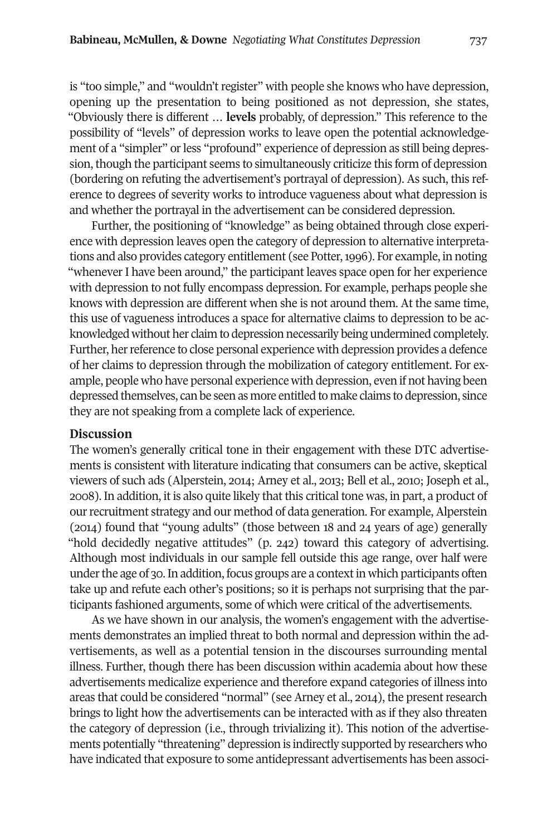is "too simple," and "wouldn't register" with people she knows who have depression, opening up the presentation to being positioned as not depression, she states, "Obviously there is different … **levels** probably, of depression." This reference to the possibility of "levels" of depression works to leave open the potential acknowledgement of a "simpler" or less "profound" experience of depression as still being depression, though the participant seems to simultaneously criticize this form of depression (bordering on refuting the advertisement's portrayal of depression). As such, this reference to degrees of severity works to introduce vagueness about what depression is and whether the portrayal in the advertisement can be considered depression.

Further, the positioning of "knowledge" as being obtained through close experience with depression leaves open the category of depression to alternative interpretations and also provides category entitlement (see Potter,1996). For example, in noting "whenever I have been around," the participant leaves space open for her experience with depression to not fully encompass depression. For example, perhaps people she knows with depression are different when she is not around them. At the same time, this use of vagueness introduces a space for alternative claims to depression to be acknowledged without her claim to depression necessarily being undermined completely. Further, herreference to close personal experience with depression provides a defence of her claims to depression through the mobilization of category entitlement. For example, people who have personal experience with depression, even if not having been depressed themselves, can be seen as more entitled to make claims to depression, since they are not speaking from a complete lack of experience.

#### **Discussion**

The women's generally critical tone in their engagement with these DTC advertisements is consistent with literature indicating that consumers can be active, skeptical viewers of such ads (Alperstein, 2014; Arney et al., 2013; Bell et al., 2010; Joseph et al., 2008). In addition, it is also quite likely that this critical tone was, in part, a product of ourrecruitment strategy and our method of data generation. For example, Alperstein (2014) found that "young adults" (those between 18 and 24 years of age) generally "hold decidedly negative attitudes" (p. 242) toward this category of advertising. Although most individuals in our sample fell outside this age range, over half were under the age of 30. In addition, focus groups are a context in which participants often take up and refute each other's positions; so it is perhaps not surprising that the participants fashioned arguments, some of which were critical of the advertisements.

As we have shown in our analysis, the women's engagement with the advertisements demonstrates an implied threat to both normal and depression within the advertisements, as well as a potential tension in the discourses surrounding mental illness. Further, though there has been discussion within academia about how these advertisements medicalize experience and therefore expand categories of illness into areas that could be considered "normal" (see Arney et al., 2014), the presentresearch brings to light how the advertisements can be interacted with as if they also threaten the category of depression (i.e., through trivializing it). This notion of the advertisements potentially "threatening" depression is indirectly supported by researchers who have indicated that exposure to some antidepressant advertisements has been associ-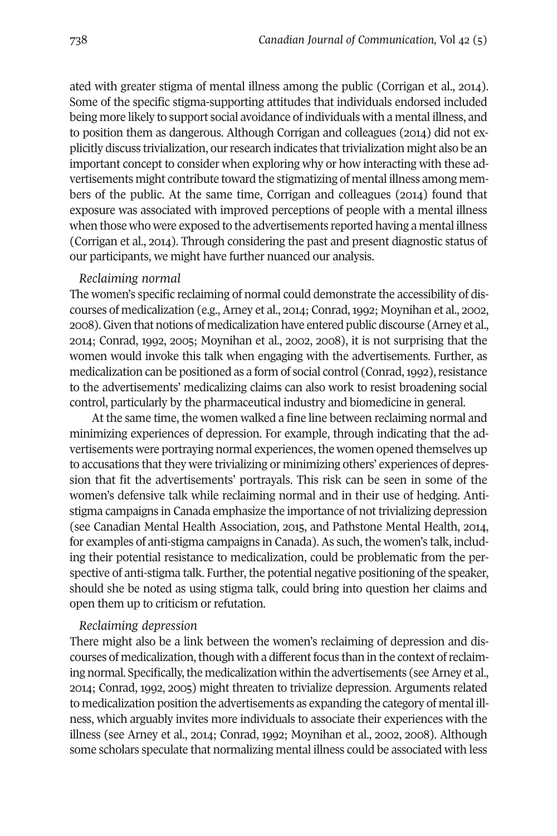ated with greater stigma of mental illness among the public (Corrigan et al., 2014). Some of the specific stigma-supporting attitudes that individuals endorsed included being more likely to support social avoidance of individuals with a mental illness, and to position them as dangerous. Although Corrigan and colleagues (2014) did not explicitly discuss trivialization, ourresearch indicates thattrivialization might also be an important concept to consider when exploring why or how interacting with these advertisements might contribute toward the stigmatizing of mental illness among members of the public. At the same time, Corrigan and colleagues (2014) found that exposure was associated with improved perceptions of people with a mental illness when those who were exposed to the advertisements reported having a mental illness (Corrigan et al., 2014). Through considering the past and present diagnostic status of our participants, we might have further nuanced our analysis.

#### *Reclaiming normal*

The women's specific reclaiming of normal could demonstrate the accessibility of discourses of medicalization (e.g., Arney et al., 2014; Conrad,1992; Moynihan et al., 2002, 2008).Given that notions of medicalization have entered public discourse (Arney et al., 2014; Conrad, 1992, 2005; Moynihan et al., 2002, 2008), it is not surprising that the women would invoke this talk when engaging with the advertisements. Further, as medicalization can be positioned as a form of social control (Conrad, 1992), resistance to the advertisements' medicalizing claims can also work to resist broadening social control, particularly by the pharmaceutical industry and biomedicine in general.

At the same time, the women walked a fine line between reclaiming normal and minimizing experiences of depression. For example, through indicating that the advertisements were portraying normal experiences, the women opened themselves up to accusations that they were trivializing or minimizing others' experiences of depression that fit the advertisements' portrayals. This risk can be seen in some of the women's defensive talk while reclaiming normal and in their use of hedging. Antistigma campaigns in Canada emphasize the importance of not trivializing depression (see Canadian Mental Health Association, 2015, and Pathstone Mental Health, 2014, for examples of anti-stigma campaigns in Canada). As such, the women's talk, including their potential resistance to medicalization, could be problematic from the perspective of anti-stigma talk. Further, the potential negative positioning of the speaker, should she be noted as using stigma talk, could bring into question her claims and open them up to criticism or refutation.

#### *Reclaiming depression*

There might also be a link between the women's reclaiming of depression and discourses of medicalization, though with a different focus than in the context of reclaiming normal. Specifically, the medicalization within the advertisements (see Arney et al., 2014; Conrad, 1992, 2005) might threaten to trivialize depression. Arguments related to medicalization position the advertisements as expanding the category of mental illness, which arguably invites more individuals to associate their experiences with the illness (see Arney et al., 2014; Conrad, 1992; Moynihan et al., 2002, 2008). Although some scholars speculate that normalizing mental illness could be associated with less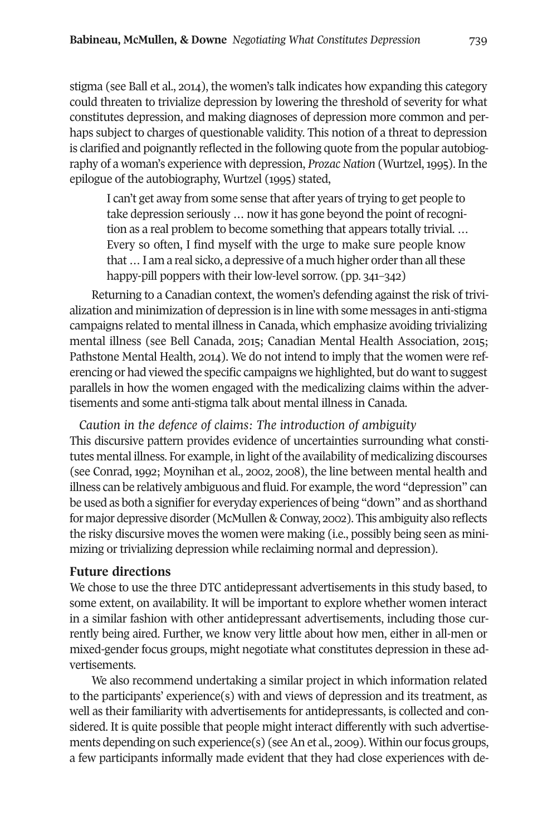stigma (see Ball et al., 2014), the women's talk indicates how expanding this category could threaten to trivialize depression by lowering the threshold of severity for what constitutes depression, and making diagnoses of depression more common and perhaps subject to charges of questionable validity. This notion of a threat to depression is clarified and poignantly reflected in the following quote from the popular autobiography of a woman's experience with depression, *Prozac Nation* (Wurtzel,1995). In the epilogue of the autobiography, Wurtzel (1995) stated,

I can't get away from some sense that after years of trying to get people to take depression seriously ... now it has gone beyond the point of recognition as a real problem to become something that appears totally trivial. … Every so often, I find myself with the urge to make sure people know that ... I am a real sicko, a depressive of a much higher order than all these happy-pill poppers with their low-level sorrow. (pp. 341–342)

Returning to a Canadian context, the women's defending against the risk of trivialization and minimization of depression is in line with some messages in anti-stigma campaigns related to mental illness in Canada, which emphasize avoiding trivializing mental illness (see Bell Canada, 2015; Canadian Mental Health Association, 2015; Pathstone Mental Health, 2014). We do not intend to imply that the women were referencing or had viewed the specific campaigns we highlighted, but do want to suggest parallels in how the women engaged with the medicalizing claims within the advertisements and some anti-stigma talk about mental illness in Canada.

*Caution in the defence of claims: The introduction of ambiguity*

This discursive pattern provides evidence of uncertainties surrounding what constitutes mental illness. For example, in light of the availability of medicalizing discourses (see Conrad, 1992; Moynihan et al., 2002, 2008), the line between mental health and illness can be relatively ambiguous and fluid. For example, the word "depression" can be used as both a signifier for everyday experiences of being "down" and as shorthand for major depressive disorder (McMullen & Conway, 2002). This ambiguity also reflects the risky discursive moves the women were making (i.e., possibly being seen as minimizing or trivializing depression while reclaiming normal and depression).

#### **Future directions**

We chose to use the three DTC antidepressant advertisements in this study based, to some extent, on availability. It will be important to explore whether women interact in a similar fashion with other antidepressant advertisements, including those currently being aired. Further, we know very little about how men, either in all-men or mixed-gender focus groups, might negotiate what constitutes depression in these advertisements.

We also recommend undertaking a similar project in which information related to the participants' experience(s) with and views of depression and its treatment, as well as their familiarity with advertisements for antidepressants, is collected and considered. It is quite possible that people might interact differently with such advertisements depending on such experience(s) (see An et al., 2009). Within our focus groups, a few participants informally made evident that they had close experiences with de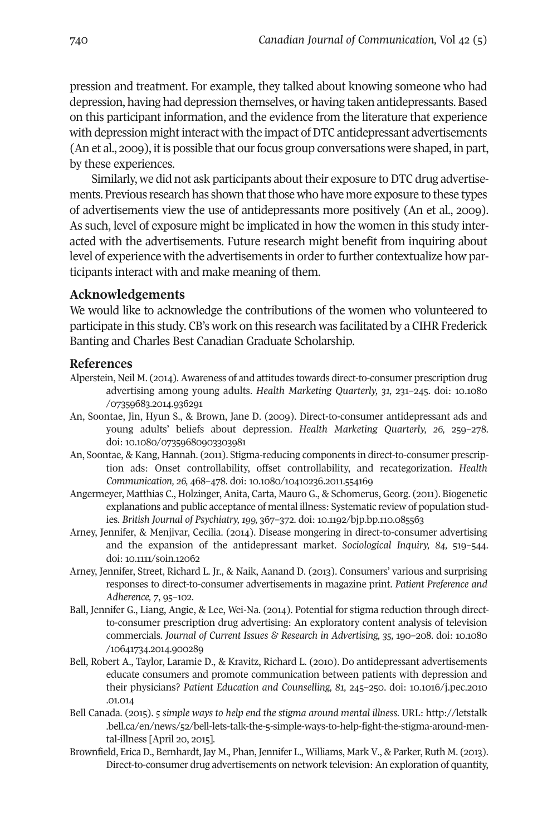pression and treatment. For example, they talked about knowing someone who had depression, having had depression themselves, or having taken antidepressants. Based on this participant information, and the evidence from the literature that experience with depression might interact with the impact of DTC antidepressant advertisements (An et al., 2009), it is possible that our focus group conversations were shaped, in part, by these experiences.

Similarly, we did not ask participants about their exposure to DTC drug advertisements. Previous research has shown that those who have more exposure to these types of advertisements view the use of antidepressants more positively (An et al., 2009). As such, level of exposure might be implicated in how the women in this study interacted with the advertisements. Future research might benefit from inquiring about level of experience with the advertisements in orderto further contextualize how participants interact with and make meaning of them.

#### **Acknowledgements**

We would like to acknowledge the contributions of the women who volunteered to participate in this study. CB's work on this research was facilitated by a CIHR Frederick Banting and Charles Best Canadian Graduate Scholarship.

#### **References**

- Alperstein, Neil M. (2014). Awareness of and attitudes towards direct-to-consumer prescription drug advertising among young adults. *Health Marketing Quarterly, 31,* 231–245. doi: 10.1080 /07359683.2014.936291
- An, Soontae, Jin, Hyun S., & Brown, Jane D. (2009). Direct-to-consumer antidepressant ads and young adults' beliefs about depression. *Health Marketing Quarterly, 26,* 259–278. doi: 10.1080/07359680903303981
- An, Soontae, & Kang, Hannah. (2011). Stigma-reducing components in direct-to-consumer prescription ads: Onset controllability, offset controllability, and recategorization. *Health Communication, 26,* 468–478. doi: 10.1080/10410236.2011.554169
- Angermeyer, Matthias C., Holzinger, Anita, Carta, Mauro G., & Schomerus, Georg. (2011). Biogenetic explanations and public acceptance of mental illness: Systematic review of population studies. *British Journal of Psychiatry, 199,* 367–372. doi: 10.1192/bjp.bp.110.085563
- Arney, Jennifer, & Menjivar, Cecilia. (2014). Disease mongering in direct-to-consumer advertising and the expansion of the antidepressant market. *Sociological Inquiry, 84,* 519–544. doi: 10.1111/soin.12062
- Arney, Jennifer, Street, Richard L. Jr., & Naik, Aanand D. (2013). Consumers' various and surprising responses to direct-to-consumer advertisements in magazine print. *Patient Preference and Adherence, 7*, 95–102.
- Ball, Jennifer G., Liang, Angie, & Lee, Wei-Na. (2014). Potential for stigma reduction through directto-consumer prescription drug advertising: An exploratory content analysis of television commercials. *Journal of Current Issues & Research in Advertising, 35,* 190–208. doi: 10.1080 /10641734.2014.900289
- Bell, Robert A., Taylor, Laramie D., & Kravitz, Richard L. (2010). Do antidepressant advertisements educate consumers and promote communication between patients with depression and their physicians? *Patient Education and Counselling, 81,* 245–250. doi: 10.1016/j.pec.2010 .01.014
- Bell Canada. (2015). *5 simple ways to help end the stigma around mental illness.* URL: http://letstalk [.bell.ca/en/news/52/bell-lets-talk-the-5-simple-ways-to-help-fight-the-stigma-around-men](http://doi.org/10.1080/07359683.2014.936291)tal-illness [April 20, 2015].
- Brownfield, Erica D., Bernhardt, Jay M., Phan, Jennifer L., Williams, Mark V., & Parker, Ruth M. (2013). Direct-to-consumer drug advertisements on network television: An exploration of quantity,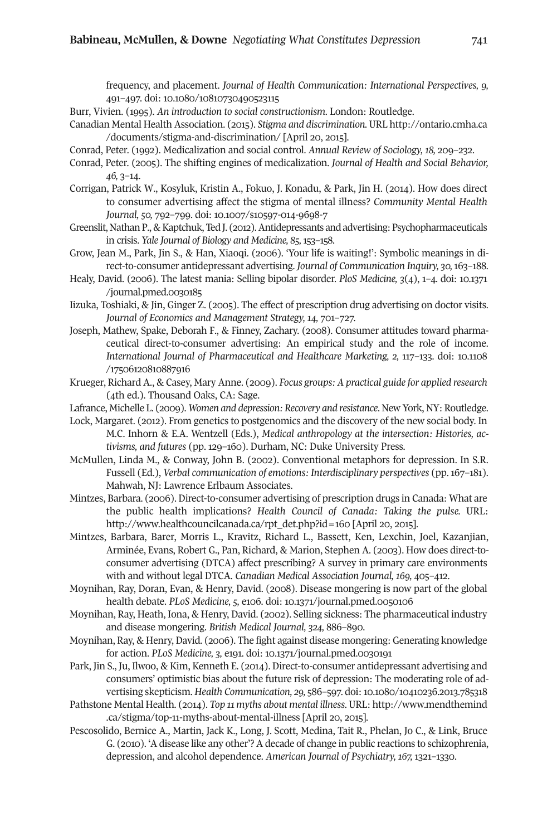frequency, and placement. *Journal of Health Communication: International Perspectives, 9,* 491–497. doi: 10.1080/10810730490523115

Burr, Vivien. (1995). *An introduction to social constructionism*. London: Routledge.

- Canadian Mental Health Association. (2015). *Stigma and discrimination.* URL http://ontario.cmha.ca /documents/stigma-and-discrimination/ [April 20, 2015].
- Conrad, Peter. (1992). Medicalization and social control. *Annual Review of Sociology, 18,* 209–232.
- Conrad, Peter. (2005). The shifting engines of medicalization. *Journal of Health and Social Behavior, 46,* 3–14.
- Corrigan, Patrick W., Kosyluk, Kristin A., Fokuo, J. Konadu, & Park, Jin H. (2014). How does direct to consumer advertising affect the stigma of mental illness? *Community Mental Health Journal, 50,* 792–799. doi: 10.1007/s10597-014-9698-7
- Greenslit, Nathan P., & Kaptchuk, Ted J. (2012). Antidepressants and advertising: Psychopharmaceuticals in crisis. *Yale Journal of Biology and Medicine, 85,* 153–158.
- Grow, Jean M., Park, Jin S., & Han, Xiaoqi. (2006). 'Your life is waiting!': Symbolic meanings in direct-to-consumer antidepressant advertising. *Journal of Communication Inquiry, 30,*163–188.
- Healy, David. (2006). The latest mania: Selling bipolar disorder. *PloS Medicine, 3*(4), 1–4. doi: 10.1371 /journal.pmed.0030185
- Iizuka, Toshiaki, & Jin, Ginger Z. (2005). The effect of prescription drug advertising on doctor visits. *Journal of Economics and Management Strategy, 14,* 701–727.
- Joseph, Mathew, Spake, Deborah F., & Finney, Zachary. (2008). Consumer attitudes toward pharmaceutical direct-to-consumer advertising: An empirical study and the role of income. *International Journal of Pharmaceutical and Healthcare Marketing, 2,* 117–133. doi: 10.1108 /17506120810887916
- Krueger, Richard A., & Casey, Mary Anne. (2009). *Focus groups: A practical guide for applied research* (4th ed.). Thousand Oaks, CA: Sage.
- Lafrance, Michelle L. (2009). *Women and depression: Recovery and resistance*. New York, NY: Routledge.
- Lock, Margaret. (2012). From genetics to postgenomics and the discovery of the new social body. In M.C. Inhorn & E.A. Wentzell (Eds.), *Medical anthropology at the intersection: Histories, activisms, and futures* (pp. 129–160). Durham, NC: Duke University Press.
- McMullen, Linda M., & Conway, John B. (2002). Conventional metaphors for depression. In S.R. Fussell (Ed.), *Verbal communication of emotions: Interdisciplinary perspectives* (pp. 167–181). Mahwah, NJ: Lawrence Erlbaum Associates.
- Mintzes, Barbara. (2006). Direct-to-consumer advertising of prescription drugs in Canada: What are the public health implications? *Health Council of Canada: Taking the pulse.* URL: [http://www.healthcouncilcanada.ca/rpt\\_det.php?id=160](http://doi.org/10.1080/10810730490523115) [April 20, 2015].
- Mintzes, Barbara, Barer, Morris L., Kravitz, Richard L., Bassett, Ken, Lexchin, Joel, Kazanjian, Arminée, Evans, Robert G., Pan, Richard, & Marion, Stephen A. (2003). How does direct-toconsumer advertising (DTCA) affect prescribing? A survey in primary care environments with and without legal DTCA. *Canadian Medical Association Journal, 169,* 405–412.
- Moynihan, Ray, Doran, Evan, & Henry, David. (2008). Disease mongering is now part of the global health debate. *PLoS Medicine, 5,* e106. doi: 10.1371/journal.pmed.0050106
- Moynihan, Ray, Heath, Iona, & Henry, David. (2002). Selling sickness: The pharmaceutical industry and disease mongering. *British Medical Journal, 324,* 886–890.
- Moynihan, Ray, & Henry, David. (2006). The fight against disease mongering: Generating knowledge for action. *PLoS Medicine, 3,* e191. doi: 10.1371/journal.pmed.0030191
- Park, Jin S., Ju, Ilwoo, & Kim, Kenneth E. (2014). Direct-to-consumer antidepressant advertising and consumers' optimistic bias about the future risk of depression: The moderating role of advertising skepticism. *Health Communication, 29,* 586–597. doi:10.1080/10410236.2013.785318
- Pathstone Mental Health. (2014). *Top 11 myths about mental illness*. URL: http://www.mendthemind .ca/stigma/top-11-myths-about-mental-illness [April 20, 2015].
- Pescosolido, Bernice A., Martin, Jack K., Long, J. Scott, Medina, Tait R., Phelan, Jo C., & Link, Bruce G. (2010). 'A disease like any other'? A decade of change in public reactions to schizophrenia, depression, and alcohol dependence. *American Journal of Psychiatry, 167,* 1321–1330.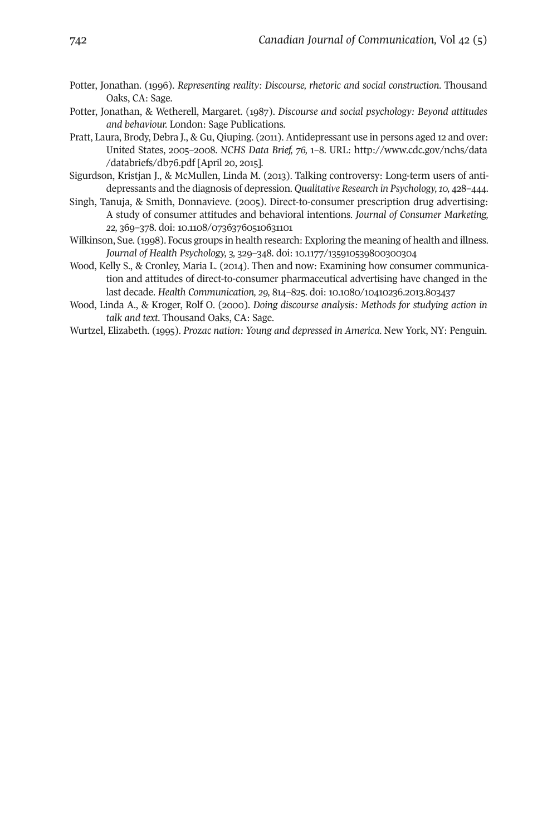- Potter, Jonathan. (1996). *Representing reality: Discourse, rhetoric and social construction*. Thousand Oaks, CA: Sage.
- Potter, Jonathan, & Wetherell, Margaret. (1987). *Discourse and social psychology: Beyond attitudes and behaviour.* London: Sage Publications.
- Pratt, Laura, Brody, Debra J., & Gu, Qiuping. (2011). Antidepressant use in persons aged 12 and over: United States, 2005–2008. *NCHS Data Brief, 76,* 1–8. URL: [http://www.cdc.gov/nchs/data](http://www.cdc.gov/nchs/data/databriefs/db76.pdf) /databriefs/db76.pdf [April 20, 2015].
- Sigurdson, Kristjan J., & McMullen, Linda M. (2013). Talking controversy: Long-term users of antidepressants and the diagnosis of depression. *Qualitative Research in Psychology,10,* 428–444.
- Singh, Tanuja, & Smith, Donnavieve. (2005). Direct-to-consumer prescription drug advertising: A study of consumer attitudes and behavioral intentions. *Journal of Consumer Marketing, 22,* 369–378. doi: 10.1108/07363760510631101
- Wilkinson, Sue. (1998). Focus groups in health research: Exploring the meaning of health and illness. *Journal of Health Psychology, 3,* 329–348. doi: 10.1177/135910539800300304
- Wood, Kelly S., & Cronley, Maria L. (2014). Then and now: Examining how consumer communication and attitudes of direct-to-consumer pharmaceutical advertising have changed in the last decade. *Health Communication, 29,* 814–825. doi: 10.1080/10410236.2013.803437
- Wood, Linda A., & Kroger, Rolf O. (2000). *Doing discourse analysis: Methods for studying action in talk and text*. Thousand Oaks, CA: Sage.
- Wurtzel, Elizabeth. (1995). *Prozac nation: Young and depressed in America*. New York, NY: Penguin.